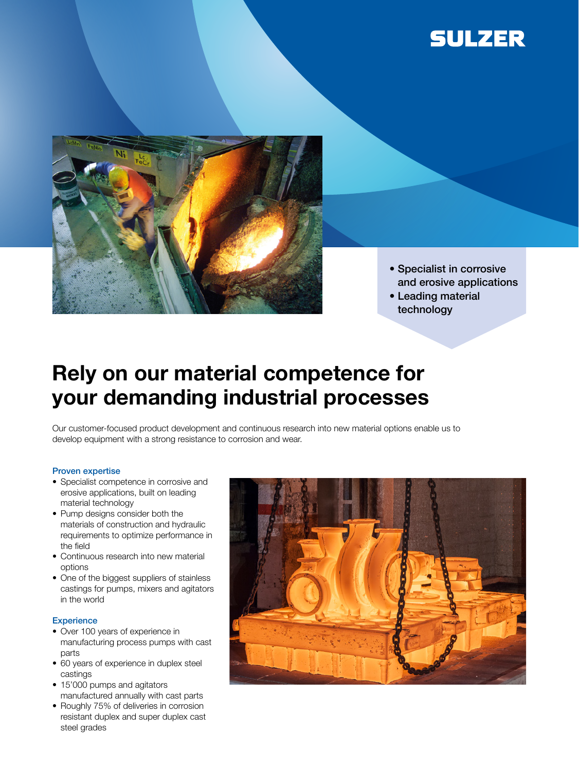



- Specialist in corrosive and erosive applications
- Leading material technology

## Rely on our material competence for your demanding industrial processes

Our customer-focused product development and continuous research into new material options enable us to develop equipment with a strong resistance to corrosion and wear.

## Proven expertise

- Specialist competence in corrosive and erosive applications, built on leading material technology
- Pump designs consider both the materials of construction and hydraulic requirements to optimize performance in the field
- Continuous research into new material options
- One of the biggest suppliers of stainless castings for pumps, mixers and agitators in the world

## **Experience**

- Over 100 years of experience in manufacturing process pumps with cast parts
- 60 years of experience in duplex steel castings
- 15'000 pumps and agitators manufactured annually with cast parts
- Roughly 75% of deliveries in corrosion resistant duplex and super duplex cast steel grades